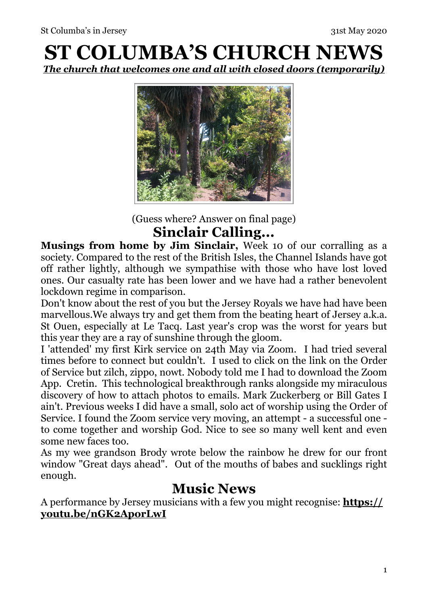# **ST COLUMBA'S CHURCH NEWS**  *The church that welcomes one and all with closed doors (temporarily)*



(Guess where? Answer on final page) **Sinclair Calling...** 

**Musings from home by Jim Sinclair,** Week 10 of our corralling as a society. Compared to the rest of the British Isles, the Channel Islands have got off rather lightly, although we sympathise with those who have lost loved ones. Our casualty rate has been lower and we have had a rather benevolent lockdown regime in comparison.

Don't know about the rest of you but the Jersey Royals we have had have been marvellous.We always try and get them from the beating heart of Jersey a.k.a. St Ouen, especially at Le Tacq. Last year's crop was the worst for years but this year they are a ray of sunshine through the gloom.

I 'attended' my first Kirk service on 24th May via Zoom. I had tried several times before to connect but couldn't. I used to click on the link on the Order of Service but zilch, zippo, nowt. Nobody told me I had to download the Zoom App. Cretin. This technological breakthrough ranks alongside my miraculous discovery of how to attach photos to emails. Mark Zuckerberg or Bill Gates I ain't. Previous weeks I did have a small, solo act of worship using the Order of Service. I found the Zoom service very moving, an attempt - a successful one to come together and worship God. Nice to see so many well kent and even some new faces too.

As my wee grandson Brody wrote below the rainbow he drew for our front window "Great days ahead". Out of the mouths of babes and sucklings right enough.

#### **Music News**

A performance by Jersey musicians with a few you might recognise: **[https://](https://youtu.be/nGK2AporLwI) [youtu.be/nGK2AporLwI](https://youtu.be/nGK2AporLwI)**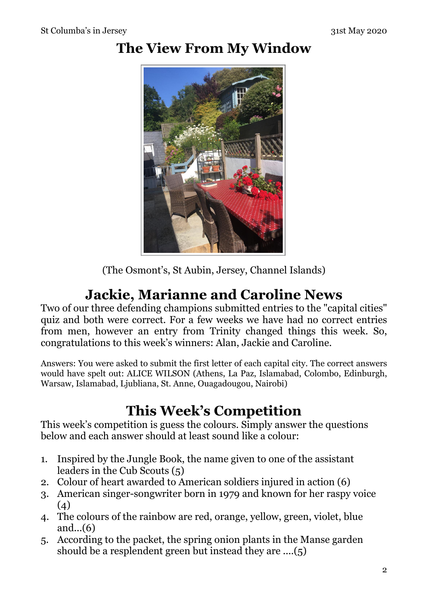### **The View From My Window**



(The Osmont's, St Aubin, Jersey, Channel Islands)

### **Jackie, Marianne and Caroline News**

Two of our three defending champions submitted entries to the "capital cities" quiz and both were correct. For a few weeks we have had no correct entries from men, however an entry from Trinity changed things this week. So, congratulations to this week's winners: Alan, Jackie and Caroline.

Answers: You were asked to submit the first letter of each capital city. The correct answers would have spelt out: ALICE WILSON (Athens, La Paz, Islamabad, Colombo, Edinburgh, Warsaw, Islamabad, Ljubliana, St. Anne, Ouagadougou, Nairobi)

### **This Week's Competition**

This week's competition is guess the colours. Simply answer the questions below and each answer should at least sound like a colour:

- 1. Inspired by the Jungle Book, the name given to one of the assistant leaders in the Cub Scouts (5)
- 2. Colour of heart awarded to American soldiers injured in action (6)
- 3. American singer-songwriter born in 1979 and known for her raspy voice  $(4)$
- 4. The colours of the rainbow are red, orange, yellow, green, violet, blue and...(6)
- 5. According to the packet, the spring onion plants in the Manse garden should be a resplendent green but instead they are ....(5)